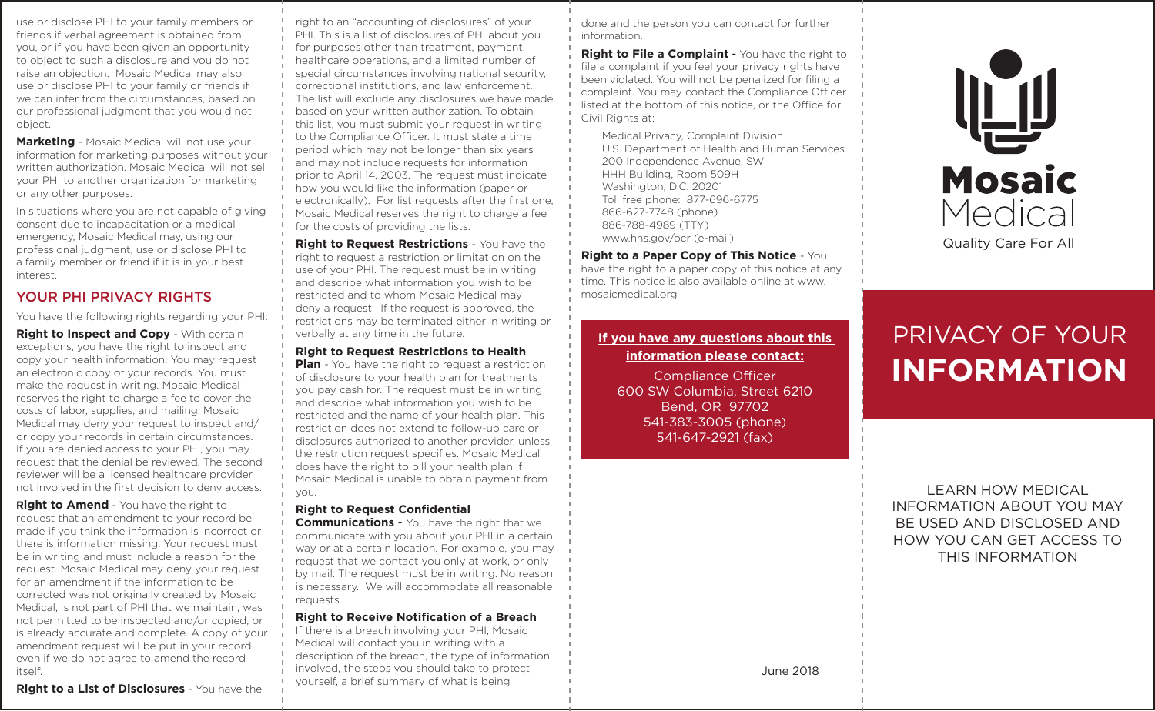use or disclose PHI to your family members or friends if verbal agreement is obtained from you, or if you have been given an opportunity to object to such a disclosure and you do not raise an objection. Mosaic Medical may also use or disclose PHI to your family or friends if we can infer from the circumstances, based on our professional judgment that you would not object.

**Marketing** - Mosaic Medical will not use your information for marketing purposes without your written authorization. Mosaic Medical will not sell your PHI to another organization for marketing or any other purposes.

In situations where you are not capable of giving consent due to incapacitation or a medical emergency, Mosaic Medical may, using our professional judgment, use or disclose PHI to a family member or friend if it is in your best interest.

# YOUR PHI PRIVACY RIGHTS

You have the following rights regarding your PHI:

**Right to Inspect and Copy** - With certain exceptions, you have the right to inspect and copy your health information. You may request an electronic copy of your records. You must make the request in writing. Mosaic Medical reserves the right to charge a fee to cover the costs of labor, supplies, and mailing. Mosaic Medical may deny your request to inspect and/ or copy your records in certain circumstances. If you are denied access to your PHI, you may request that the denial be reviewed. The second reviewer will be a licensed healthcare provider not involved in the first decision to deny access.

**Right to Amend** - You have the right to request that an amendment to your record be made if you think the information is incorrect or there is information missing. Your request must be in writing and must include a reason for the request. Mosaic Medical may deny your request for an amendment if the information to be corrected was not originally created by Mosaic Medical, is not part of PHI that we maintain, was not permitted to be inspected and/or copied, or is already accurate and complete. A copy of your amendment request will be put in your record even if we do not agree to amend the record itself.

### **Right to a List of Disclosures** - You have the

right to an "accounting of disclosures" of your PHI. This is a list of disclosures of PHI about you for purposes other than treatment, payment, healthcare operations, and a limited number of special circumstances involving national security, correctional institutions, and law enforcement. The list will exclude any disclosures we have made based on your written authorization. To obtain this list, you must submit your request in writing to the Compliance Officer. It must state a time period which may not be longer than six years and may not include requests for information prior to April 14, 2003. The request must indicate how you would like the information (paper or electronically). For list requests after the first one, Mosaic Medical reserves the right to charge a fee for the costs of providing the lists.

**Right to Request Restrictions** - You have the right to request a restriction or limitation on the use of your PHI. The request must be in writing and describe what information you wish to be restricted and to whom Mosaic Medical may deny a request. If the request is approved, the restrictions may be terminated either in writing or verbally at any time in the future.

### **Right to Request Restrictions to Health**

**Plan** - You have the right to request a restriction of disclosure to your health plan for treatments you pay cash for. The request must be in writing and describe what information you wish to be restricted and the name of your health plan. This restriction does not extend to follow-up care or disclosures authorized to another provider, unless the restriction request specifies. Mosaic Medical does have the right to bill your health plan if Mosaic Medical is unable to obtain payment from you.

### **Right to Request Confidential**

**Communications** - You have the right that we communicate with you about your PHI in a certain way or at a certain location. For example, you may request that we contact you only at work, or only by mail. The request must be in writing. No reason is necessary. We will accommodate all reasonable requests.

### **Right to Receive Notification of a Breach**

If there is a breach involving your PHI, Mosaic Medical will contact you in writing with a description of the breach, the type of information involved, the steps you should take to protect yourself, a brief summary of what is being

done and the person you can contact for further information.

**Right to File a Complaint -** You have the right to file a complaint if you feel your privacy rights have been violated. You will not be penalized for filing a complaint. You may contact the Compliance Officer listed at the bottom of this notice, or the Office for Civil Rights at:

Medical Privacy, Complaint Division U.S. Department of Health and Human Services 200 Independence Avenue, SW HHH Building, Room 509H Washington, D.C. 20201 Toll free phone: 877-696-6775 866-627-7748 (phone) 886-788-4989 (TTY) www.hhs.gov/ocr (e-mail)

**Right to a Paper Copy of This Notice** - You have the right to a paper copy of this notice at any time. This notice is also available online at www. mosaicmedical.org

# **If you have any questions about this information please contact:**

Compliance Officer 600 SW Columbia, Street 6210 Bend, OR 97702 541-383-3005 (phone) 541-647-2921 (fax)



# PRIVACY OF YOUR **INFORMATION**

LEARN HOW MEDICAL INFORMATION ABOUT YOU MAY BE USED AND DISCLOSED AND HOW YOU CAN GET ACCESS TO THIS INFORMATION